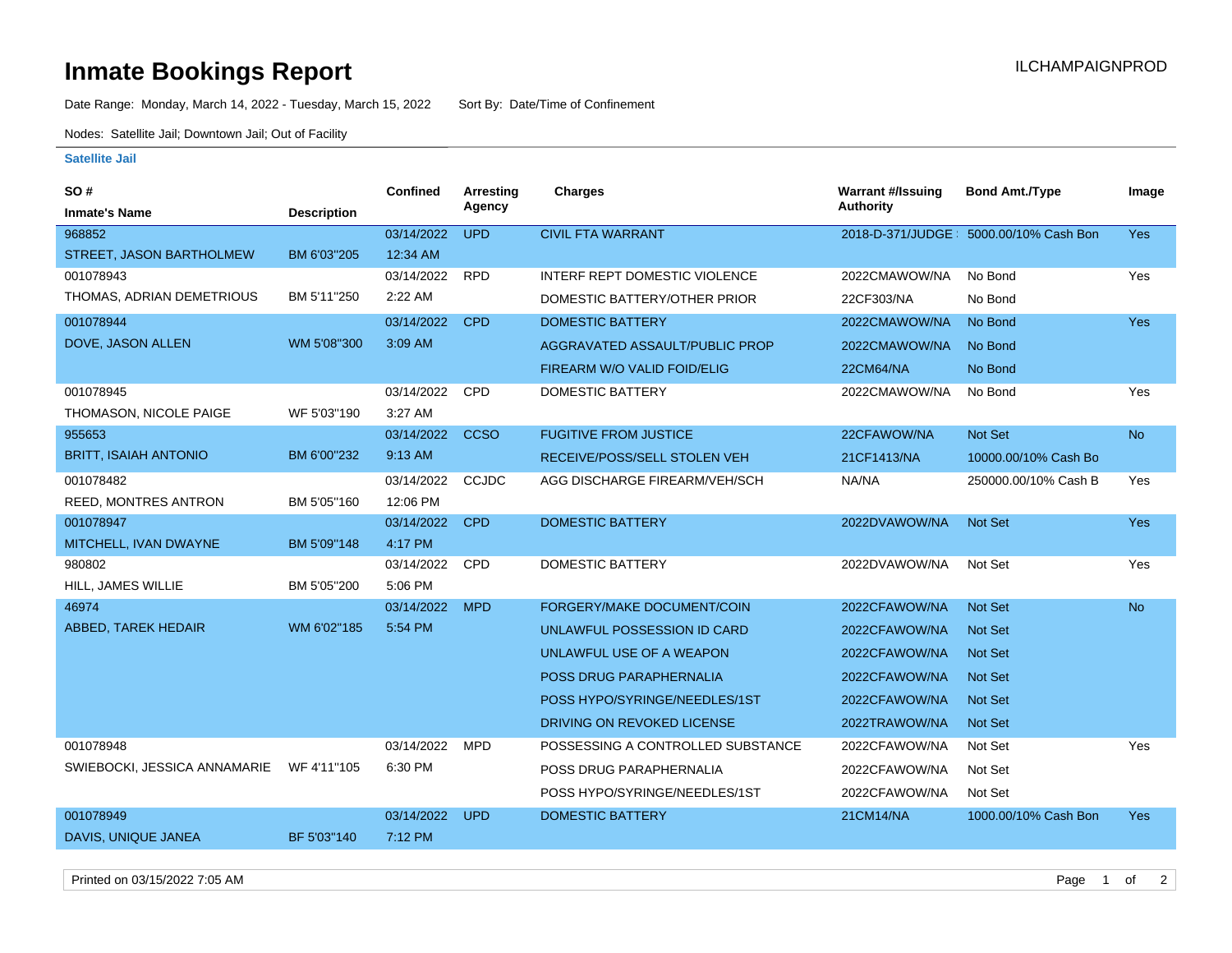## **Inmate Bookings Report International Contract Contract Contract Contract Contract Contract Contract Contract Contract Contract Contract Contract Contract Contract Contract Contract Contract Contract Contract Contract Co**

Date Range: Monday, March 14, 2022 - Tuesday, March 15, 2022 Sort By: Date/Time of Confinement

Nodes: Satellite Jail; Downtown Jail; Out of Facility

## **Satellite Jail**

| SO#                          |                    | <b>Confined</b> | Arresting    | Charges                           | <b>Warrant #/Issuing</b> | <b>Bond Amt./Type</b>                   | Image      |
|------------------------------|--------------------|-----------------|--------------|-----------------------------------|--------------------------|-----------------------------------------|------------|
| <b>Inmate's Name</b>         | <b>Description</b> |                 | Agency       |                                   | <b>Authority</b>         |                                         |            |
| 968852                       |                    | 03/14/2022      | <b>UPD</b>   | <b>CIVIL FTA WARRANT</b>          |                          | 2018-D-371/JUDGE : 5000.00/10% Cash Bon | <b>Yes</b> |
| STREET, JASON BARTHOLMEW     | BM 6'03"205        | 12:34 AM        |              |                                   |                          |                                         |            |
| 001078943                    |                    | 03/14/2022      | <b>RPD</b>   | INTERF REPT DOMESTIC VIOLENCE     | 2022CMAWOW/NA            | No Bond                                 | Yes        |
| THOMAS, ADRIAN DEMETRIOUS    | BM 5'11"250        | 2:22 AM         |              | DOMESTIC BATTERY/OTHER PRIOR      | 22CF303/NA               | No Bond                                 |            |
| 001078944                    |                    | 03/14/2022      | <b>CPD</b>   | <b>DOMESTIC BATTERY</b>           | 2022CMAWOW/NA            | No Bond                                 | <b>Yes</b> |
| DOVE, JASON ALLEN            | WM 5'08"300        | 3:09 AM         |              | AGGRAVATED ASSAULT/PUBLIC PROP    | 2022CMAWOW/NA            | No Bond                                 |            |
|                              |                    |                 |              | FIREARM W/O VALID FOID/ELIG       | <b>22CM64/NA</b>         | No Bond                                 |            |
| 001078945                    |                    | 03/14/2022      | CPD          | <b>DOMESTIC BATTERY</b>           | 2022CMAWOW/NA            | No Bond                                 | Yes        |
| THOMASON, NICOLE PAIGE       | WF 5'03"190        | 3:27 AM         |              |                                   |                          |                                         |            |
| 955653                       |                    | 03/14/2022      | <b>CCSO</b>  | <b>FUGITIVE FROM JUSTICE</b>      | 22CFAWOW/NA              | Not Set                                 | <b>No</b>  |
| <b>BRITT, ISAIAH ANTONIO</b> | BM 6'00"232        | 9:13 AM         |              | RECEIVE/POSS/SELL STOLEN VEH      | 21CF1413/NA              | 10000.00/10% Cash Bo                    |            |
| 001078482                    |                    | 03/14/2022      | <b>CCJDC</b> | AGG DISCHARGE FIREARM/VEH/SCH     | NA/NA                    | 250000.00/10% Cash B                    | Yes        |
| <b>REED, MONTRES ANTRON</b>  | BM 5'05"160        | 12:06 PM        |              |                                   |                          |                                         |            |
| 001078947                    |                    | 03/14/2022      | <b>CPD</b>   | <b>DOMESTIC BATTERY</b>           | 2022DVAWOW/NA            | <b>Not Set</b>                          | <b>Yes</b> |
| MITCHELL, IVAN DWAYNE        | BM 5'09"148        | 4:17 PM         |              |                                   |                          |                                         |            |
| 980802                       |                    | 03/14/2022      | <b>CPD</b>   | <b>DOMESTIC BATTERY</b>           | 2022DVAWOW/NA            | Not Set                                 | Yes        |
| HILL, JAMES WILLIE           | BM 5'05"200        | 5:06 PM         |              |                                   |                          |                                         |            |
| 46974                        |                    | 03/14/2022      | <b>MPD</b>   | FORGERY/MAKE DOCUMENT/COIN        | 2022CFAWOW/NA            | <b>Not Set</b>                          | <b>No</b>  |
| ABBED, TAREK HEDAIR          | WM 6'02"185        | 5:54 PM         |              | UNLAWFUL POSSESSION ID CARD       | 2022CFAWOW/NA            | <b>Not Set</b>                          |            |
|                              |                    |                 |              | UNLAWFUL USE OF A WEAPON          | 2022CFAWOW/NA            | <b>Not Set</b>                          |            |
|                              |                    |                 |              | POSS DRUG PARAPHERNALIA           | 2022CFAWOW/NA            | <b>Not Set</b>                          |            |
|                              |                    |                 |              | POSS HYPO/SYRINGE/NEEDLES/1ST     | 2022CFAWOW/NA            | <b>Not Set</b>                          |            |
|                              |                    |                 |              | DRIVING ON REVOKED LICENSE        | 2022TRAWOW/NA            | <b>Not Set</b>                          |            |
| 001078948                    |                    | 03/14/2022      | <b>MPD</b>   | POSSESSING A CONTROLLED SUBSTANCE | 2022CFAWOW/NA            | Not Set                                 | Yes        |
| SWIEBOCKI, JESSICA ANNAMARIE | WF 4'11"105        | 6:30 PM         |              | POSS DRUG PARAPHERNALIA           | 2022CFAWOW/NA            | Not Set                                 |            |
|                              |                    |                 |              | POSS HYPO/SYRINGE/NEEDLES/1ST     | 2022CFAWOW/NA            | Not Set                                 |            |
| 001078949                    |                    | 03/14/2022      | <b>UPD</b>   | <b>DOMESTIC BATTERY</b>           | 21CM14/NA                | 1000.00/10% Cash Bon                    | <b>Yes</b> |
| DAVIS, UNIQUE JANEA          | BF 5'03"140        | 7:12 PM         |              |                                   |                          |                                         |            |

Printed on 03/15/2022 7:05 AM Page 1 of 2